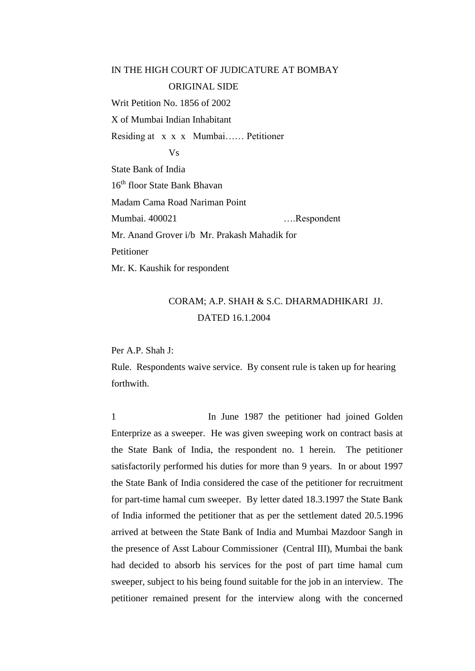## IN THE HIGH COURT OF JUDICATURE AT BOMBAY ORIGINAL SIDE

Writ Petition No. 1856 of 2002 X of Mumbai Indian Inhabitant Residing at x x x Mumbai…… Petitioner Vs State Bank of India 16<sup>th</sup> floor State Bank Bhavan Madam Cama Road Nariman Point Mumbai. 400021 ….Respondent Mr. Anand Grover i/b Mr. Prakash Mahadik for **Petitioner** Mr. K. Kaushik for respondent

## CORAM; A.P. SHAH & S.C. DHARMADHIKARI JJ. DATED 16.1.2004

Per A.P. Shah J:

Rule. Respondents waive service. By consent rule is taken up for hearing forthwith.

1 In June 1987 the petitioner had joined Golden Enterprize as a sweeper. He was given sweeping work on contract basis at the State Bank of India, the respondent no. 1 herein. The petitioner satisfactorily performed his duties for more than 9 years. In or about 1997 the State Bank of India considered the case of the petitioner for recruitment for part-time hamal cum sweeper. By letter dated 18.3.1997 the State Bank of India informed the petitioner that as per the settlement dated 20.5.1996 arrived at between the State Bank of India and Mumbai Mazdoor Sangh in the presence of Asst Labour Commissioner (Central III), Mumbai the bank had decided to absorb his services for the post of part time hamal cum sweeper, subject to his being found suitable for the job in an interview. The petitioner remained present for the interview along with the concerned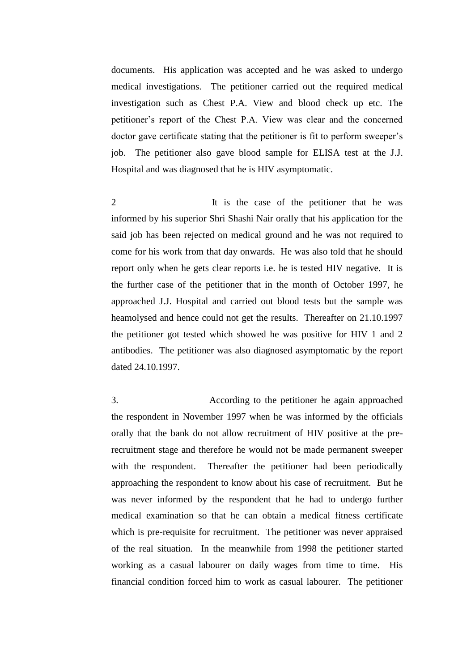documents. His application was accepted and he was asked to undergo medical investigations. The petitioner carried out the required medical investigation such as Chest P.A. View and blood check up etc. The petitioner's report of the Chest P.A. View was clear and the concerned doctor gave certificate stating that the petitioner is fit to perform sweeper's job. The petitioner also gave blood sample for ELISA test at the J.J. Hospital and was diagnosed that he is HIV asymptomatic.

2 It is the case of the petitioner that he was informed by his superior Shri Shashi Nair orally that his application for the said job has been rejected on medical ground and he was not required to come for his work from that day onwards. He was also told that he should report only when he gets clear reports i.e. he is tested HIV negative. It is the further case of the petitioner that in the month of October 1997, he approached J.J. Hospital and carried out blood tests but the sample was heamolysed and hence could not get the results. Thereafter on 21.10.1997 the petitioner got tested which showed he was positive for HIV 1 and 2 antibodies. The petitioner was also diagnosed asymptomatic by the report dated 24.10.1997.

3. According to the petitioner he again approached the respondent in November 1997 when he was informed by the officials orally that the bank do not allow recruitment of HIV positive at the prerecruitment stage and therefore he would not be made permanent sweeper with the respondent. Thereafter the petitioner had been periodically approaching the respondent to know about his case of recruitment. But he was never informed by the respondent that he had to undergo further medical examination so that he can obtain a medical fitness certificate which is pre-requisite for recruitment. The petitioner was never appraised of the real situation. In the meanwhile from 1998 the petitioner started working as a casual labourer on daily wages from time to time. His financial condition forced him to work as casual labourer. The petitioner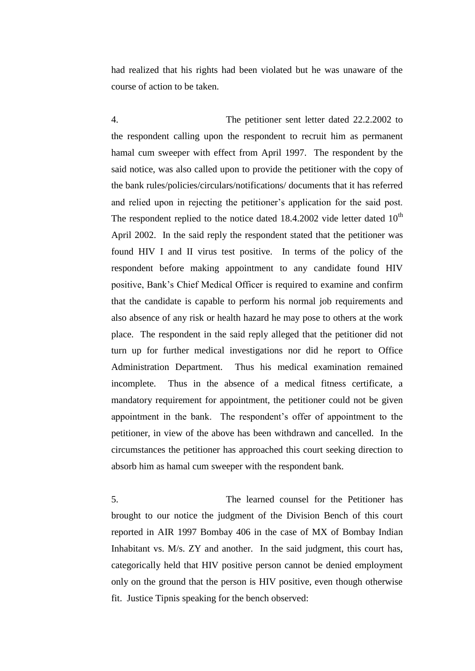had realized that his rights had been violated but he was unaware of the course of action to be taken.

4. The petitioner sent letter dated 22.2.2002 to the respondent calling upon the respondent to recruit him as permanent hamal cum sweeper with effect from April 1997. The respondent by the said notice, was also called upon to provide the petitioner with the copy of the bank rules/policies/circulars/notifications/ documents that it has referred and relied upon in rejecting the petitioner's application for the said post. The respondent replied to the notice dated  $18.4.2002$  vide letter dated  $10<sup>th</sup>$ April 2002. In the said reply the respondent stated that the petitioner was found HIV I and II virus test positive. In terms of the policy of the respondent before making appointment to any candidate found HIV positive, Bank's Chief Medical Officer is required to examine and confirm that the candidate is capable to perform his normal job requirements and also absence of any risk or health hazard he may pose to others at the work place. The respondent in the said reply alleged that the petitioner did not turn up for further medical investigations nor did he report to Office Administration Department. Thus his medical examination remained incomplete. Thus in the absence of a medical fitness certificate, a mandatory requirement for appointment, the petitioner could not be given appointment in the bank. The respondent's offer of appointment to the petitioner, in view of the above has been withdrawn and cancelled. In the circumstances the petitioner has approached this court seeking direction to absorb him as hamal cum sweeper with the respondent bank.

5. The learned counsel for the Petitioner has brought to our notice the judgment of the Division Bench of this court reported in AIR 1997 Bombay 406 in the case of MX of Bombay Indian Inhabitant vs. M/s. ZY and another. In the said judgment, this court has, categorically held that HIV positive person cannot be denied employment only on the ground that the person is HIV positive, even though otherwise fit. Justice Tipnis speaking for the bench observed: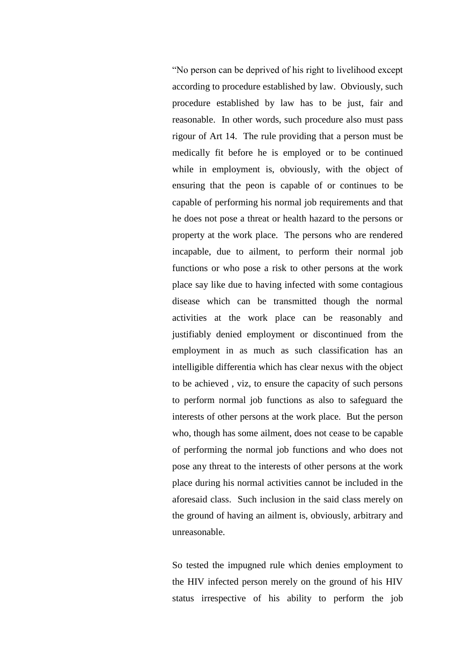"No person can be deprived of his right to livelihood except according to procedure established by law. Obviously, such procedure established by law has to be just, fair and reasonable. In other words, such procedure also must pass rigour of Art 14. The rule providing that a person must be medically fit before he is employed or to be continued while in employment is, obviously, with the object of ensuring that the peon is capable of or continues to be capable of performing his normal job requirements and that he does not pose a threat or health hazard to the persons or property at the work place. The persons who are rendered incapable, due to ailment, to perform their normal job functions or who pose a risk to other persons at the work place say like due to having infected with some contagious disease which can be transmitted though the normal activities at the work place can be reasonably and justifiably denied employment or discontinued from the employment in as much as such classification has an intelligible differentia which has clear nexus with the object to be achieved , viz, to ensure the capacity of such persons to perform normal job functions as also to safeguard the interests of other persons at the work place. But the person who, though has some ailment, does not cease to be capable of performing the normal job functions and who does not pose any threat to the interests of other persons at the work place during his normal activities cannot be included in the aforesaid class. Such inclusion in the said class merely on the ground of having an ailment is, obviously, arbitrary and unreasonable.

So tested the impugned rule which denies employment to the HIV infected person merely on the ground of his HIV status irrespective of his ability to perform the job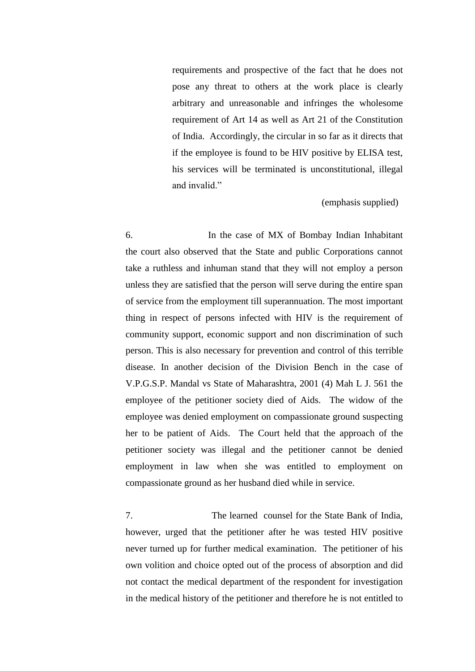requirements and prospective of the fact that he does not pose any threat to others at the work place is clearly arbitrary and unreasonable and infringes the wholesome requirement of Art 14 as well as Art 21 of the Constitution of India. Accordingly, the circular in so far as it directs that if the employee is found to be HIV positive by ELISA test, his services will be terminated is unconstitutional, illegal and invalid."

(emphasis supplied)

6. In the case of MX of Bombay Indian Inhabitant the court also observed that the State and public Corporations cannot take a ruthless and inhuman stand that they will not employ a person unless they are satisfied that the person will serve during the entire span of service from the employment till superannuation. The most important thing in respect of persons infected with HIV is the requirement of community support, economic support and non discrimination of such person. This is also necessary for prevention and control of this terrible disease. In another decision of the Division Bench in the case of V.P.G.S.P. Mandal vs State of Maharashtra, 2001 (4) Mah L J. 561 the employee of the petitioner society died of Aids. The widow of the employee was denied employment on compassionate ground suspecting her to be patient of Aids. The Court held that the approach of the petitioner society was illegal and the petitioner cannot be denied employment in law when she was entitled to employment on compassionate ground as her husband died while in service.

7. The learned counsel for the State Bank of India, however, urged that the petitioner after he was tested HIV positive never turned up for further medical examination. The petitioner of his own volition and choice opted out of the process of absorption and did not contact the medical department of the respondent for investigation in the medical history of the petitioner and therefore he is not entitled to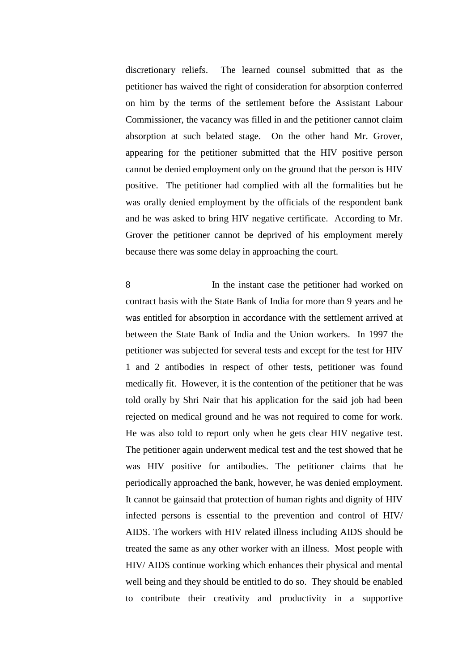discretionary reliefs. The learned counsel submitted that as the petitioner has waived the right of consideration for absorption conferred on him by the terms of the settlement before the Assistant Labour Commissioner, the vacancy was filled in and the petitioner cannot claim absorption at such belated stage. On the other hand Mr. Grover, appearing for the petitioner submitted that the HIV positive person cannot be denied employment only on the ground that the person is HIV positive. The petitioner had complied with all the formalities but he was orally denied employment by the officials of the respondent bank and he was asked to bring HIV negative certificate. According to Mr. Grover the petitioner cannot be deprived of his employment merely because there was some delay in approaching the court.

8 In the instant case the petitioner had worked on contract basis with the State Bank of India for more than 9 years and he was entitled for absorption in accordance with the settlement arrived at between the State Bank of India and the Union workers. In 1997 the petitioner was subjected for several tests and except for the test for HIV 1 and 2 antibodies in respect of other tests, petitioner was found medically fit. However, it is the contention of the petitioner that he was told orally by Shri Nair that his application for the said job had been rejected on medical ground and he was not required to come for work. He was also told to report only when he gets clear HIV negative test. The petitioner again underwent medical test and the test showed that he was HIV positive for antibodies. The petitioner claims that he periodically approached the bank, however, he was denied employment. It cannot be gainsaid that protection of human rights and dignity of HIV infected persons is essential to the prevention and control of HIV/ AIDS. The workers with HIV related illness including AIDS should be treated the same as any other worker with an illness. Most people with HIV/ AIDS continue working which enhances their physical and mental well being and they should be entitled to do so. They should be enabled to contribute their creativity and productivity in a supportive